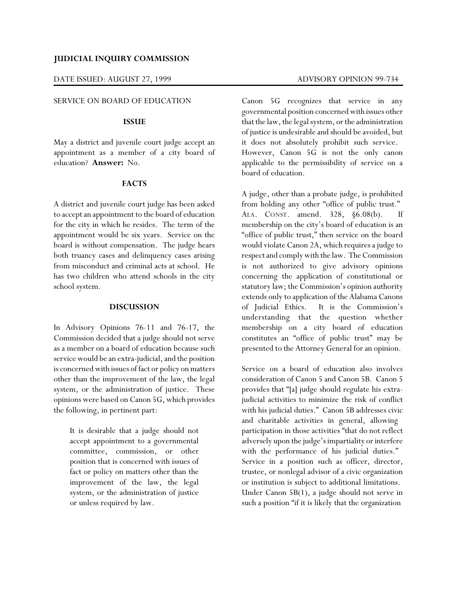# **JUDICIAL INQUIRY COMMISSION**

#### DATE ISSUED: AUGUST 27, 1999 ADVISORY OPINION 99-734

#### SERVICE ON BOARD OF EDUCATION

#### **ISSUE**

May a district and juvenile court judge accept an appointment as a member of a city board of education? **Answer:** No.

### **FACTS**

A district and juvenile court judge has been asked to accept an appointment to the board of education for the city in which he resides. The term of the appointment would be six years. Service on the board is without compensation. The judge hears both truancy cases and delinquency cases arising from misconduct and criminal acts at school. He has two children who attend schools in the city school system.

## **DISCUSSION**

In Advisory Opinions 76-11 and 76-17, the Commission decided that a judge should not serve as a member on a board of education because such service would be an extra-judicial, and the position is concerned with issues of fact or policy on matters other than the improvement of the law, the legal system, or the administration of justice. These opinions were based on Canon 5G, which provides the following, in pertinent part:

It is desirable that a judge should not accept appointment to a governmental committee, commission, or other position that is concerned with issues of fact or policy on matters other than the improvement of the law, the legal system, or the administration of justice or unless required by law.

Canon 5G recognizes that service in any governmental position concerned with issues other that the law, the legal system, or the administration of justice is undesirable and should be avoided, but it does not absolutely prohibit such service. However, Canon 5G is not the only canon applicable to the permissibility of service on a board of education.

A judge, other than a probate judge, is prohibited from holding any other "office of public trust." ALA. CONST. amend. 328, §6.08(b). If membership on the city's board of education is an "office of public trust," then service on the board would violate Canon 2A, which requires a judge to respect and comply with the law. The Commission is not authorized to give advisory opinions concerning the application of constitutional or statutory law; the Commission's opinion authority extends only to application of the Alabama Canons of Judicial Ethics. It is the Commission's understanding that the question whether membership on a city board of education constitutes an "office of public trust" may be presented to the Attorney General for an opinion.

Service on a board of education also involves consideration of Canon 5 and Canon 5B. Canon 5 provides that "[a] judge should regulate his extrajudicial activities to minimize the risk of conflict with his judicial duties." Canon 5B addresses civic and charitable activities in general, allowing participation in those activities "that do not reflect adversely upon the judge's impartiality or interfere with the performance of his judicial duties." Service in a position such as officer, director, trustee, or nonlegal advisor of a civic organization or institution is subject to additional limitations. Under Canon 5B(1), a judge should not serve in such a position "if it is likely that the organization